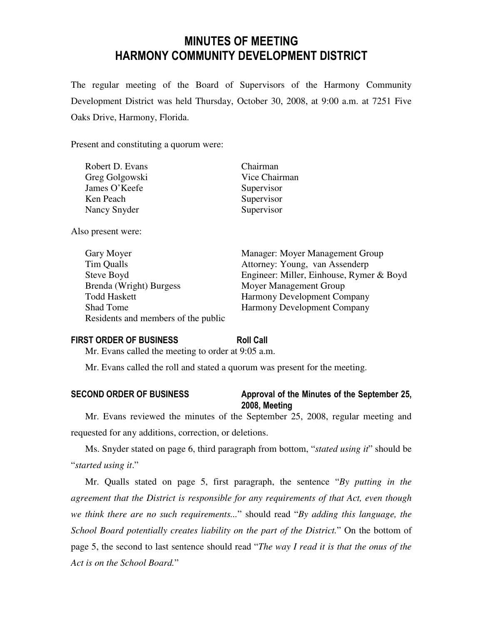# MINUTES OF MEETING HARMONY COMMUNITY DEVELOPMENT DISTRICT

The regular meeting of the Board of Supervisors of the Harmony Community Development District was held Thursday, October 30, 2008, at 9:00 a.m. at 7251 Five Oaks Drive, Harmony, Florida.

Present and constituting a quorum were:

| Robert D. Evans | Chairman      |
|-----------------|---------------|
| Greg Golgowski  | Vice Chairman |
| James O'Keefe   | Supervisor    |
| Ken Peach       | Supervisor    |
| Nancy Snyder    | Supervisor    |
|                 |               |

Also present were:

| Gary Moyer                          | Manager: Moyer Management Group          |
|-------------------------------------|------------------------------------------|
| Tim Qualls                          | Attorney: Young, van Assenderp           |
| Steve Boyd                          | Engineer: Miller, Einhouse, Rymer & Boyd |
| Brenda (Wright) Burgess             | Moyer Management Group                   |
| <b>Todd Haskett</b>                 | <b>Harmony Development Company</b>       |
| Shad Tome                           | <b>Harmony Development Company</b>       |
| Residents and members of the public |                                          |

## FIRST ORDER OF BUSINESS Roll Call

Mr. Evans called the meeting to order at 9:05 a.m.

Mr. Evans called the roll and stated a quorum was present for the meeting.

# SECOND ORDER OF BUSINESS Approval of the Minutes of the September 25, 2008, Meeting

Mr. Evans reviewed the minutes of the September 25, 2008, regular meeting and requested for any additions, correction, or deletions.

Ms. Snyder stated on page 6, third paragraph from bottom, "*stated using it*" should be "*started using it*."

Mr. Qualls stated on page 5, first paragraph, the sentence "*By putting in the agreement that the District is responsible for any requirements of that Act, even though we think there are no such requirements...*" should read "*By adding this language, the School Board potentially creates liability on the part of the District.*" On the bottom of page 5, the second to last sentence should read "*The way I read it is that the onus of the Act is on the School Board.*"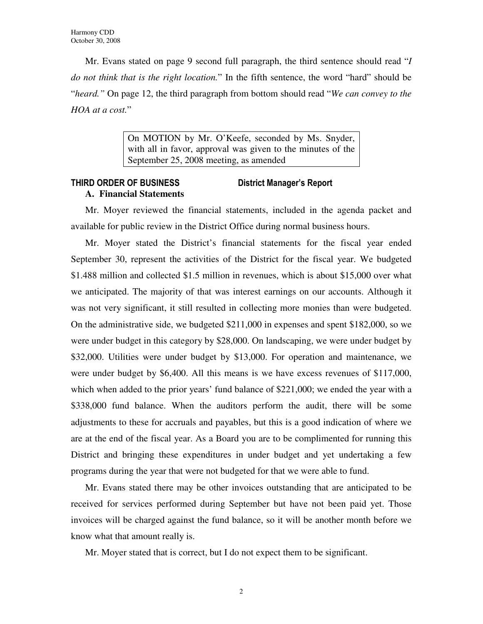Mr. Evans stated on page 9 second full paragraph, the third sentence should read "*I do not think that is the right location.*" In the fifth sentence, the word "hard" should be "*heard."* On page 12, the third paragraph from bottom should read "*We can convey to the HOA at a cost.*"

> On MOTION by Mr. O'Keefe, seconded by Ms. Snyder, with all in favor, approval was given to the minutes of the September 25, 2008 meeting, as amended

# THIRD ORDER OF BUSINESS District Manager's Report **A. Financial Statements**

Mr. Moyer reviewed the financial statements, included in the agenda packet and available for public review in the District Office during normal business hours.

Mr. Moyer stated the District's financial statements for the fiscal year ended September 30, represent the activities of the District for the fiscal year. We budgeted \$1.488 million and collected \$1.5 million in revenues, which is about \$15,000 over what we anticipated. The majority of that was interest earnings on our accounts. Although it was not very significant, it still resulted in collecting more monies than were budgeted. On the administrative side, we budgeted \$211,000 in expenses and spent \$182,000, so we were under budget in this category by \$28,000. On landscaping, we were under budget by \$32,000. Utilities were under budget by \$13,000. For operation and maintenance, we were under budget by \$6,400. All this means is we have excess revenues of \$117,000, which when added to the prior years' fund balance of \$221,000; we ended the year with a \$338,000 fund balance. When the auditors perform the audit, there will be some adjustments to these for accruals and payables, but this is a good indication of where we are at the end of the fiscal year. As a Board you are to be complimented for running this District and bringing these expenditures in under budget and yet undertaking a few programs during the year that were not budgeted for that we were able to fund.

Mr. Evans stated there may be other invoices outstanding that are anticipated to be received for services performed during September but have not been paid yet. Those invoices will be charged against the fund balance, so it will be another month before we know what that amount really is.

Mr. Moyer stated that is correct, but I do not expect them to be significant.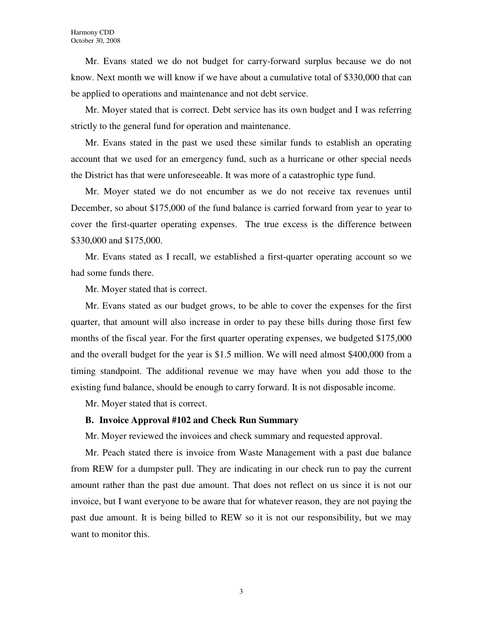Mr. Evans stated we do not budget for carry-forward surplus because we do not know. Next month we will know if we have about a cumulative total of \$330,000 that can be applied to operations and maintenance and not debt service.

Mr. Moyer stated that is correct. Debt service has its own budget and I was referring strictly to the general fund for operation and maintenance.

Mr. Evans stated in the past we used these similar funds to establish an operating account that we used for an emergency fund, such as a hurricane or other special needs the District has that were unforeseeable. It was more of a catastrophic type fund.

Mr. Moyer stated we do not encumber as we do not receive tax revenues until December, so about \$175,000 of the fund balance is carried forward from year to year to cover the first-quarter operating expenses. The true excess is the difference between \$330,000 and \$175,000.

Mr. Evans stated as I recall, we established a first-quarter operating account so we had some funds there.

Mr. Moyer stated that is correct.

Mr. Evans stated as our budget grows, to be able to cover the expenses for the first quarter, that amount will also increase in order to pay these bills during those first few months of the fiscal year. For the first quarter operating expenses, we budgeted \$175,000 and the overall budget for the year is \$1.5 million. We will need almost \$400,000 from a timing standpoint. The additional revenue we may have when you add those to the existing fund balance, should be enough to carry forward. It is not disposable income.

Mr. Moyer stated that is correct.

### **B. Invoice Approval #102 and Check Run Summary**

Mr. Moyer reviewed the invoices and check summary and requested approval.

Mr. Peach stated there is invoice from Waste Management with a past due balance from REW for a dumpster pull. They are indicating in our check run to pay the current amount rather than the past due amount. That does not reflect on us since it is not our invoice, but I want everyone to be aware that for whatever reason, they are not paying the past due amount. It is being billed to REW so it is not our responsibility, but we may want to monitor this.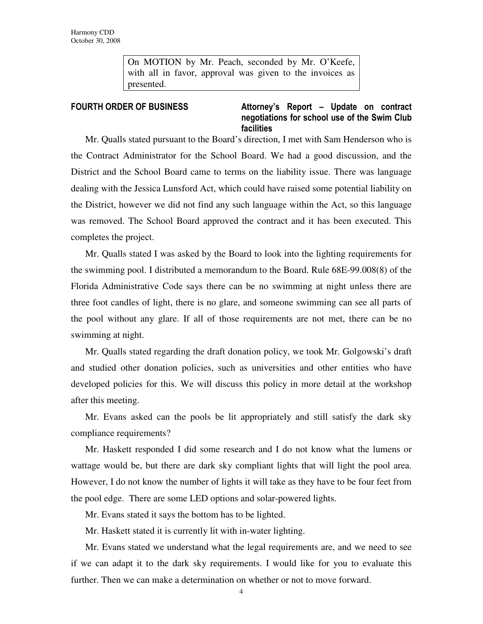On MOTION by Mr. Peach, seconded by Mr. O'Keefe, with all in favor, approval was given to the invoices as presented.

FOURTH ORDER OF BUSINESS **Attorney's** Report – Update on contract negotiations for school use of the Swim Club facilities

Mr. Qualls stated pursuant to the Board's direction, I met with Sam Henderson who is the Contract Administrator for the School Board. We had a good discussion, and the District and the School Board came to terms on the liability issue. There was language dealing with the Jessica Lunsford Act, which could have raised some potential liability on the District, however we did not find any such language within the Act, so this language was removed. The School Board approved the contract and it has been executed. This completes the project.

Mr. Qualls stated I was asked by the Board to look into the lighting requirements for the swimming pool. I distributed a memorandum to the Board. Rule 68E-99.008(8) of the Florida Administrative Code says there can be no swimming at night unless there are three foot candles of light, there is no glare, and someone swimming can see all parts of the pool without any glare. If all of those requirements are not met, there can be no swimming at night.

Mr. Qualls stated regarding the draft donation policy, we took Mr. Golgowski's draft and studied other donation policies, such as universities and other entities who have developed policies for this. We will discuss this policy in more detail at the workshop after this meeting.

Mr. Evans asked can the pools be lit appropriately and still satisfy the dark sky compliance requirements?

Mr. Haskett responded I did some research and I do not know what the lumens or wattage would be, but there are dark sky compliant lights that will light the pool area. However, I do not know the number of lights it will take as they have to be four feet from the pool edge. There are some LED options and solar-powered lights.

Mr. Evans stated it says the bottom has to be lighted.

Mr. Haskett stated it is currently lit with in-water lighting.

Mr. Evans stated we understand what the legal requirements are, and we need to see if we can adapt it to the dark sky requirements. I would like for you to evaluate this further. Then we can make a determination on whether or not to move forward.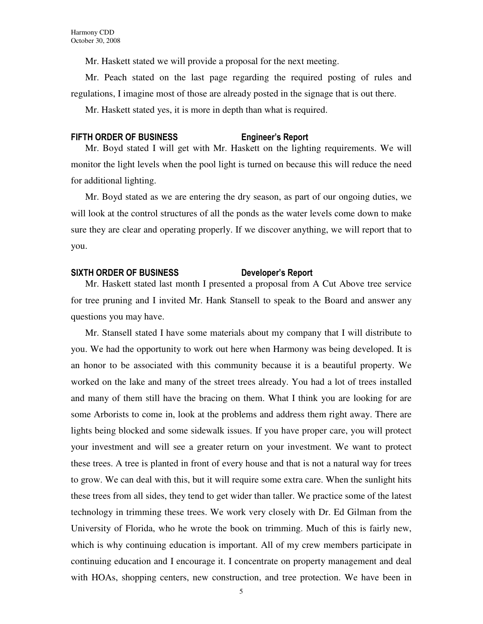Mr. Haskett stated we will provide a proposal for the next meeting.

Mr. Peach stated on the last page regarding the required posting of rules and regulations, I imagine most of those are already posted in the signage that is out there.

Mr. Haskett stated yes, it is more in depth than what is required.

### FIFTH ORDER OF BUSINESS Engineer's Report

Mr. Boyd stated I will get with Mr. Haskett on the lighting requirements. We will monitor the light levels when the pool light is turned on because this will reduce the need for additional lighting.

Mr. Boyd stated as we are entering the dry season, as part of our ongoing duties, we will look at the control structures of all the ponds as the water levels come down to make sure they are clear and operating properly. If we discover anything, we will report that to you.

### SIXTH ORDER OF BUSINESS Developer's Report

Mr. Haskett stated last month I presented a proposal from A Cut Above tree service for tree pruning and I invited Mr. Hank Stansell to speak to the Board and answer any questions you may have.

Mr. Stansell stated I have some materials about my company that I will distribute to you. We had the opportunity to work out here when Harmony was being developed. It is an honor to be associated with this community because it is a beautiful property. We worked on the lake and many of the street trees already. You had a lot of trees installed and many of them still have the bracing on them. What I think you are looking for are some Arborists to come in, look at the problems and address them right away. There are lights being blocked and some sidewalk issues. If you have proper care, you will protect your investment and will see a greater return on your investment. We want to protect these trees. A tree is planted in front of every house and that is not a natural way for trees to grow. We can deal with this, but it will require some extra care. When the sunlight hits these trees from all sides, they tend to get wider than taller. We practice some of the latest technology in trimming these trees. We work very closely with Dr. Ed Gilman from the University of Florida, who he wrote the book on trimming. Much of this is fairly new, which is why continuing education is important. All of my crew members participate in continuing education and I encourage it. I concentrate on property management and deal with HOAs, shopping centers, new construction, and tree protection. We have been in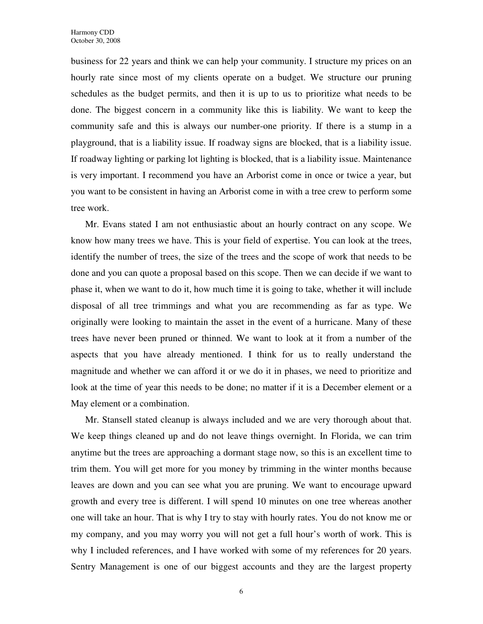business for 22 years and think we can help your community. I structure my prices on an hourly rate since most of my clients operate on a budget. We structure our pruning schedules as the budget permits, and then it is up to us to prioritize what needs to be done. The biggest concern in a community like this is liability. We want to keep the community safe and this is always our number-one priority. If there is a stump in a playground, that is a liability issue. If roadway signs are blocked, that is a liability issue. If roadway lighting or parking lot lighting is blocked, that is a liability issue. Maintenance is very important. I recommend you have an Arborist come in once or twice a year, but you want to be consistent in having an Arborist come in with a tree crew to perform some tree work.

Mr. Evans stated I am not enthusiastic about an hourly contract on any scope. We know how many trees we have. This is your field of expertise. You can look at the trees, identify the number of trees, the size of the trees and the scope of work that needs to be done and you can quote a proposal based on this scope. Then we can decide if we want to phase it, when we want to do it, how much time it is going to take, whether it will include disposal of all tree trimmings and what you are recommending as far as type. We originally were looking to maintain the asset in the event of a hurricane. Many of these trees have never been pruned or thinned. We want to look at it from a number of the aspects that you have already mentioned. I think for us to really understand the magnitude and whether we can afford it or we do it in phases, we need to prioritize and look at the time of year this needs to be done; no matter if it is a December element or a May element or a combination.

Mr. Stansell stated cleanup is always included and we are very thorough about that. We keep things cleaned up and do not leave things overnight. In Florida, we can trim anytime but the trees are approaching a dormant stage now, so this is an excellent time to trim them. You will get more for you money by trimming in the winter months because leaves are down and you can see what you are pruning. We want to encourage upward growth and every tree is different. I will spend 10 minutes on one tree whereas another one will take an hour. That is why I try to stay with hourly rates. You do not know me or my company, and you may worry you will not get a full hour's worth of work. This is why I included references, and I have worked with some of my references for 20 years. Sentry Management is one of our biggest accounts and they are the largest property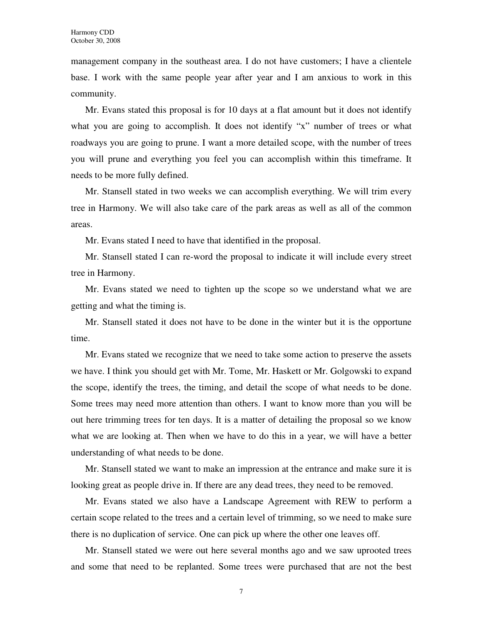management company in the southeast area. I do not have customers; I have a clientele base. I work with the same people year after year and I am anxious to work in this community.

Mr. Evans stated this proposal is for 10 days at a flat amount but it does not identify what you are going to accomplish. It does not identify "x" number of trees or what roadways you are going to prune. I want a more detailed scope, with the number of trees you will prune and everything you feel you can accomplish within this timeframe. It needs to be more fully defined.

Mr. Stansell stated in two weeks we can accomplish everything. We will trim every tree in Harmony. We will also take care of the park areas as well as all of the common areas.

Mr. Evans stated I need to have that identified in the proposal.

Mr. Stansell stated I can re-word the proposal to indicate it will include every street tree in Harmony.

Mr. Evans stated we need to tighten up the scope so we understand what we are getting and what the timing is.

Mr. Stansell stated it does not have to be done in the winter but it is the opportune time.

Mr. Evans stated we recognize that we need to take some action to preserve the assets we have. I think you should get with Mr. Tome, Mr. Haskett or Mr. Golgowski to expand the scope, identify the trees, the timing, and detail the scope of what needs to be done. Some trees may need more attention than others. I want to know more than you will be out here trimming trees for ten days. It is a matter of detailing the proposal so we know what we are looking at. Then when we have to do this in a year, we will have a better understanding of what needs to be done.

Mr. Stansell stated we want to make an impression at the entrance and make sure it is looking great as people drive in. If there are any dead trees, they need to be removed.

Mr. Evans stated we also have a Landscape Agreement with REW to perform a certain scope related to the trees and a certain level of trimming, so we need to make sure there is no duplication of service. One can pick up where the other one leaves off.

Mr. Stansell stated we were out here several months ago and we saw uprooted trees and some that need to be replanted. Some trees were purchased that are not the best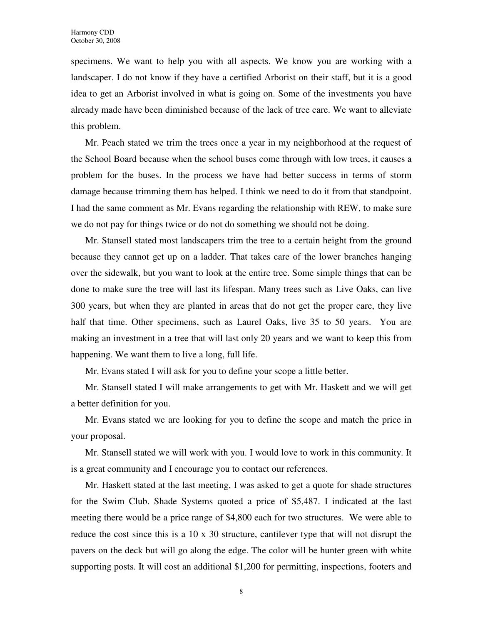specimens. We want to help you with all aspects. We know you are working with a landscaper. I do not know if they have a certified Arborist on their staff, but it is a good idea to get an Arborist involved in what is going on. Some of the investments you have already made have been diminished because of the lack of tree care. We want to alleviate this problem.

Mr. Peach stated we trim the trees once a year in my neighborhood at the request of the School Board because when the school buses come through with low trees, it causes a problem for the buses. In the process we have had better success in terms of storm damage because trimming them has helped. I think we need to do it from that standpoint. I had the same comment as Mr. Evans regarding the relationship with REW, to make sure we do not pay for things twice or do not do something we should not be doing.

Mr. Stansell stated most landscapers trim the tree to a certain height from the ground because they cannot get up on a ladder. That takes care of the lower branches hanging over the sidewalk, but you want to look at the entire tree. Some simple things that can be done to make sure the tree will last its lifespan. Many trees such as Live Oaks, can live 300 years, but when they are planted in areas that do not get the proper care, they live half that time. Other specimens, such as Laurel Oaks, live 35 to 50 years. You are making an investment in a tree that will last only 20 years and we want to keep this from happening. We want them to live a long, full life.

Mr. Evans stated I will ask for you to define your scope a little better.

Mr. Stansell stated I will make arrangements to get with Mr. Haskett and we will get a better definition for you.

Mr. Evans stated we are looking for you to define the scope and match the price in your proposal.

Mr. Stansell stated we will work with you. I would love to work in this community. It is a great community and I encourage you to contact our references.

Mr. Haskett stated at the last meeting, I was asked to get a quote for shade structures for the Swim Club. Shade Systems quoted a price of \$5,487. I indicated at the last meeting there would be a price range of \$4,800 each for two structures. We were able to reduce the cost since this is a 10 x 30 structure, cantilever type that will not disrupt the pavers on the deck but will go along the edge. The color will be hunter green with white supporting posts. It will cost an additional \$1,200 for permitting, inspections, footers and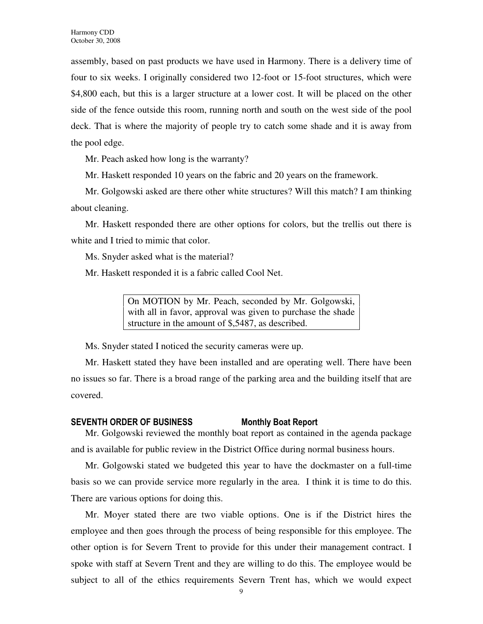assembly, based on past products we have used in Harmony. There is a delivery time of four to six weeks. I originally considered two 12-foot or 15-foot structures, which were \$4,800 each, but this is a larger structure at a lower cost. It will be placed on the other side of the fence outside this room, running north and south on the west side of the pool deck. That is where the majority of people try to catch some shade and it is away from the pool edge.

Mr. Peach asked how long is the warranty?

Mr. Haskett responded 10 years on the fabric and 20 years on the framework.

Mr. Golgowski asked are there other white structures? Will this match? I am thinking about cleaning.

Mr. Haskett responded there are other options for colors, but the trellis out there is white and I tried to mimic that color.

Ms. Snyder asked what is the material?

Mr. Haskett responded it is a fabric called Cool Net.

On MOTION by Mr. Peach, seconded by Mr. Golgowski, with all in favor, approval was given to purchase the shade structure in the amount of \$,5487, as described.

Ms. Snyder stated I noticed the security cameras were up.

Mr. Haskett stated they have been installed and are operating well. There have been no issues so far. There is a broad range of the parking area and the building itself that are covered.

#### SEVENTH ORDER OF BUSINESS Monthly Boat Report

Mr. Golgowski reviewed the monthly boat report as contained in the agenda package and is available for public review in the District Office during normal business hours.

Mr. Golgowski stated we budgeted this year to have the dockmaster on a full-time basis so we can provide service more regularly in the area. I think it is time to do this. There are various options for doing this.

Mr. Moyer stated there are two viable options. One is if the District hires the employee and then goes through the process of being responsible for this employee. The other option is for Severn Trent to provide for this under their management contract. I spoke with staff at Severn Trent and they are willing to do this. The employee would be subject to all of the ethics requirements Severn Trent has, which we would expect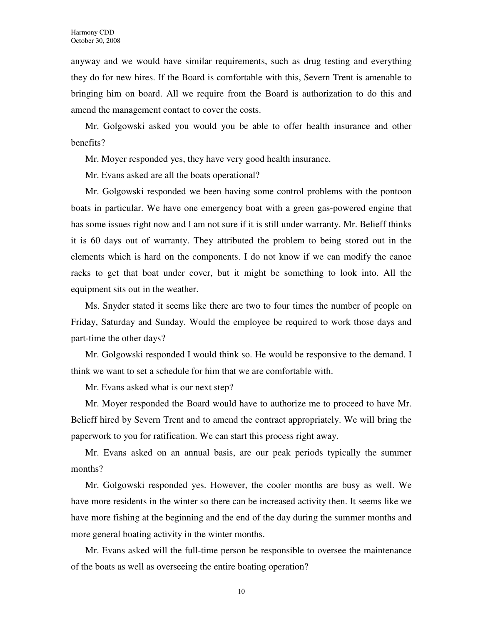anyway and we would have similar requirements, such as drug testing and everything they do for new hires. If the Board is comfortable with this, Severn Trent is amenable to bringing him on board. All we require from the Board is authorization to do this and amend the management contact to cover the costs.

Mr. Golgowski asked you would you be able to offer health insurance and other benefits?

Mr. Moyer responded yes, they have very good health insurance.

Mr. Evans asked are all the boats operational?

Mr. Golgowski responded we been having some control problems with the pontoon boats in particular. We have one emergency boat with a green gas-powered engine that has some issues right now and I am not sure if it is still under warranty. Mr. Belieff thinks it is 60 days out of warranty. They attributed the problem to being stored out in the elements which is hard on the components. I do not know if we can modify the canoe racks to get that boat under cover, but it might be something to look into. All the equipment sits out in the weather.

Ms. Snyder stated it seems like there are two to four times the number of people on Friday, Saturday and Sunday. Would the employee be required to work those days and part-time the other days?

Mr. Golgowski responded I would think so. He would be responsive to the demand. I think we want to set a schedule for him that we are comfortable with.

Mr. Evans asked what is our next step?

Mr. Moyer responded the Board would have to authorize me to proceed to have Mr. Belieff hired by Severn Trent and to amend the contract appropriately. We will bring the paperwork to you for ratification. We can start this process right away.

Mr. Evans asked on an annual basis, are our peak periods typically the summer months?

Mr. Golgowski responded yes. However, the cooler months are busy as well. We have more residents in the winter so there can be increased activity then. It seems like we have more fishing at the beginning and the end of the day during the summer months and more general boating activity in the winter months.

Mr. Evans asked will the full-time person be responsible to oversee the maintenance of the boats as well as overseeing the entire boating operation?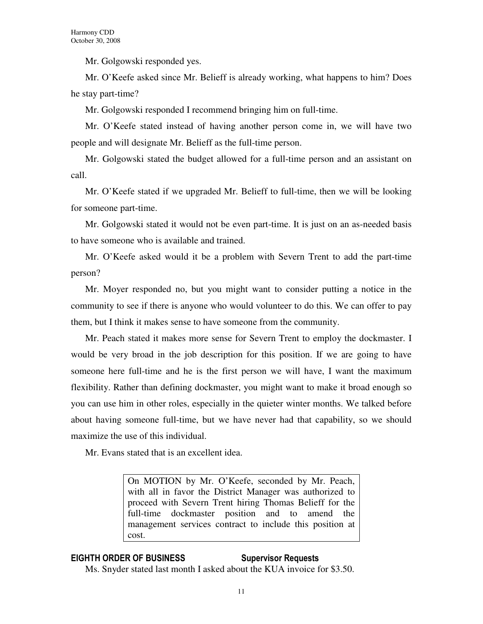Mr. Golgowski responded yes.

Mr. O'Keefe asked since Mr. Belieff is already working, what happens to him? Does he stay part-time?

Mr. Golgowski responded I recommend bringing him on full-time.

Mr. O'Keefe stated instead of having another person come in, we will have two people and will designate Mr. Belieff as the full-time person.

Mr. Golgowski stated the budget allowed for a full-time person and an assistant on call.

Mr. O'Keefe stated if we upgraded Mr. Belieff to full-time, then we will be looking for someone part-time.

Mr. Golgowski stated it would not be even part-time. It is just on an as-needed basis to have someone who is available and trained.

Mr. O'Keefe asked would it be a problem with Severn Trent to add the part-time person?

Mr. Moyer responded no, but you might want to consider putting a notice in the community to see if there is anyone who would volunteer to do this. We can offer to pay them, but I think it makes sense to have someone from the community.

Mr. Peach stated it makes more sense for Severn Trent to employ the dockmaster. I would be very broad in the job description for this position. If we are going to have someone here full-time and he is the first person we will have, I want the maximum flexibility. Rather than defining dockmaster, you might want to make it broad enough so you can use him in other roles, especially in the quieter winter months. We talked before about having someone full-time, but we have never had that capability, so we should maximize the use of this individual.

Mr. Evans stated that is an excellent idea.

On MOTION by Mr. O'Keefe, seconded by Mr. Peach, with all in favor the District Manager was authorized to proceed with Severn Trent hiring Thomas Belieff for the full-time dockmaster position and to amend the management services contract to include this position at cost.

# EIGHTH ORDER OF BUSINESS Supervisor Requests

Ms. Snyder stated last month I asked about the KUA invoice for \$3.50.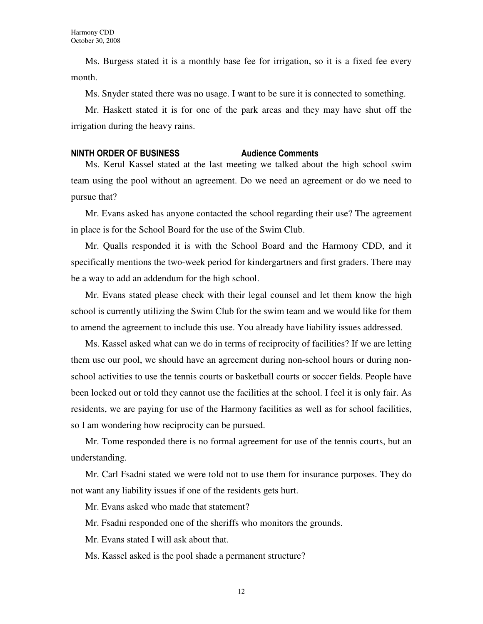Ms. Burgess stated it is a monthly base fee for irrigation, so it is a fixed fee every month.

Ms. Snyder stated there was no usage. I want to be sure it is connected to something.

Mr. Haskett stated it is for one of the park areas and they may have shut off the irrigation during the heavy rains.

### NINTH ORDER OF BUSINESS Audience Comments

Ms. Kerul Kassel stated at the last meeting we talked about the high school swim team using the pool without an agreement. Do we need an agreement or do we need to pursue that?

Mr. Evans asked has anyone contacted the school regarding their use? The agreement in place is for the School Board for the use of the Swim Club.

Mr. Qualls responded it is with the School Board and the Harmony CDD, and it specifically mentions the two-week period for kindergartners and first graders. There may be a way to add an addendum for the high school.

Mr. Evans stated please check with their legal counsel and let them know the high school is currently utilizing the Swim Club for the swim team and we would like for them to amend the agreement to include this use. You already have liability issues addressed.

Ms. Kassel asked what can we do in terms of reciprocity of facilities? If we are letting them use our pool, we should have an agreement during non-school hours or during nonschool activities to use the tennis courts or basketball courts or soccer fields. People have been locked out or told they cannot use the facilities at the school. I feel it is only fair. As residents, we are paying for use of the Harmony facilities as well as for school facilities, so I am wondering how reciprocity can be pursued.

Mr. Tome responded there is no formal agreement for use of the tennis courts, but an understanding.

Mr. Carl Fsadni stated we were told not to use them for insurance purposes. They do not want any liability issues if one of the residents gets hurt.

Mr. Evans asked who made that statement?

Mr. Fsadni responded one of the sheriffs who monitors the grounds.

Mr. Evans stated I will ask about that.

Ms. Kassel asked is the pool shade a permanent structure?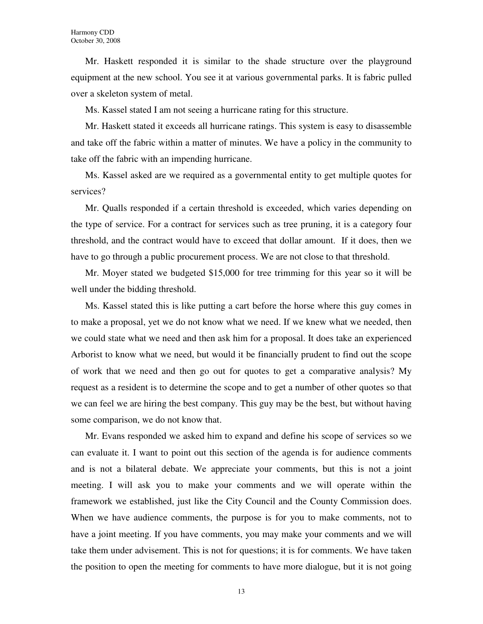Mr. Haskett responded it is similar to the shade structure over the playground equipment at the new school. You see it at various governmental parks. It is fabric pulled over a skeleton system of metal.

Ms. Kassel stated I am not seeing a hurricane rating for this structure.

Mr. Haskett stated it exceeds all hurricane ratings. This system is easy to disassemble and take off the fabric within a matter of minutes. We have a policy in the community to take off the fabric with an impending hurricane.

Ms. Kassel asked are we required as a governmental entity to get multiple quotes for services?

Mr. Qualls responded if a certain threshold is exceeded, which varies depending on the type of service. For a contract for services such as tree pruning, it is a category four threshold, and the contract would have to exceed that dollar amount. If it does, then we have to go through a public procurement process. We are not close to that threshold.

Mr. Moyer stated we budgeted \$15,000 for tree trimming for this year so it will be well under the bidding threshold.

Ms. Kassel stated this is like putting a cart before the horse where this guy comes in to make a proposal, yet we do not know what we need. If we knew what we needed, then we could state what we need and then ask him for a proposal. It does take an experienced Arborist to know what we need, but would it be financially prudent to find out the scope of work that we need and then go out for quotes to get a comparative analysis? My request as a resident is to determine the scope and to get a number of other quotes so that we can feel we are hiring the best company. This guy may be the best, but without having some comparison, we do not know that.

Mr. Evans responded we asked him to expand and define his scope of services so we can evaluate it. I want to point out this section of the agenda is for audience comments and is not a bilateral debate. We appreciate your comments, but this is not a joint meeting. I will ask you to make your comments and we will operate within the framework we established, just like the City Council and the County Commission does. When we have audience comments, the purpose is for you to make comments, not to have a joint meeting. If you have comments, you may make your comments and we will take them under advisement. This is not for questions; it is for comments. We have taken the position to open the meeting for comments to have more dialogue, but it is not going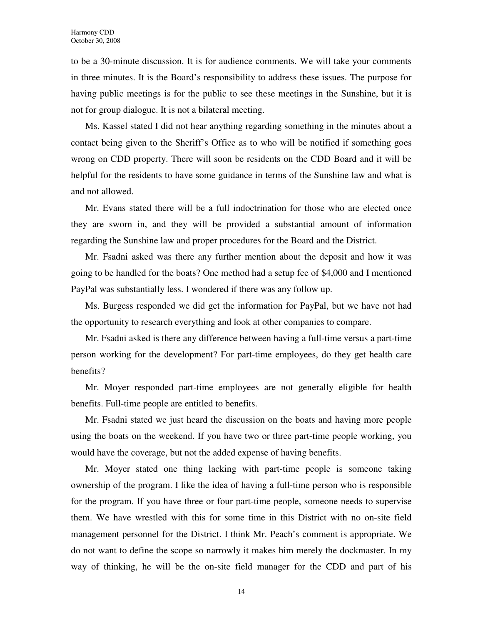to be a 30-minute discussion. It is for audience comments. We will take your comments in three minutes. It is the Board's responsibility to address these issues. The purpose for having public meetings is for the public to see these meetings in the Sunshine, but it is not for group dialogue. It is not a bilateral meeting.

Ms. Kassel stated I did not hear anything regarding something in the minutes about a contact being given to the Sheriff's Office as to who will be notified if something goes wrong on CDD property. There will soon be residents on the CDD Board and it will be helpful for the residents to have some guidance in terms of the Sunshine law and what is and not allowed.

Mr. Evans stated there will be a full indoctrination for those who are elected once they are sworn in, and they will be provided a substantial amount of information regarding the Sunshine law and proper procedures for the Board and the District.

Mr. Fsadni asked was there any further mention about the deposit and how it was going to be handled for the boats? One method had a setup fee of \$4,000 and I mentioned PayPal was substantially less. I wondered if there was any follow up.

Ms. Burgess responded we did get the information for PayPal, but we have not had the opportunity to research everything and look at other companies to compare.

Mr. Fsadni asked is there any difference between having a full-time versus a part-time person working for the development? For part-time employees, do they get health care benefits?

Mr. Moyer responded part-time employees are not generally eligible for health benefits. Full-time people are entitled to benefits.

Mr. Fsadni stated we just heard the discussion on the boats and having more people using the boats on the weekend. If you have two or three part-time people working, you would have the coverage, but not the added expense of having benefits.

Mr. Moyer stated one thing lacking with part-time people is someone taking ownership of the program. I like the idea of having a full-time person who is responsible for the program. If you have three or four part-time people, someone needs to supervise them. We have wrestled with this for some time in this District with no on-site field management personnel for the District. I think Mr. Peach's comment is appropriate. We do not want to define the scope so narrowly it makes him merely the dockmaster. In my way of thinking, he will be the on-site field manager for the CDD and part of his